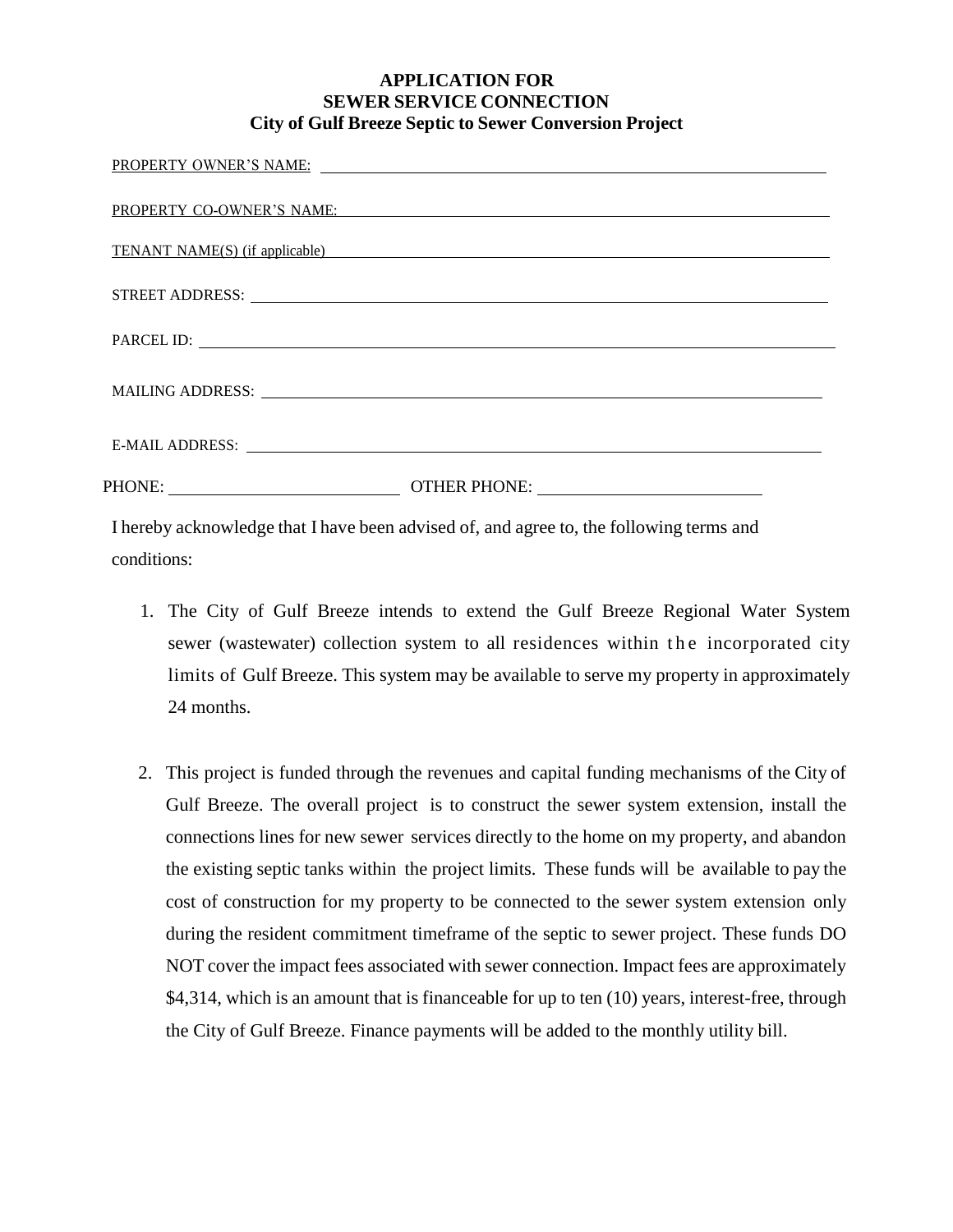## **APPLICATION FOR SEWER SERVICE CONNECTION City of Gulf Breeze Septic to Sewer Conversion Project**

|                                                                                         | PROPERTY OWNER'S NAME: 2008 CONTROL CONTROL CONTROL CONTROL CONTROL CONTROL CONTROL CONTROL CONTROL CONTROL COMM |
|-----------------------------------------------------------------------------------------|------------------------------------------------------------------------------------------------------------------|
|                                                                                         | PROPERTY CO-OWNER'S NAME: The CONDITION OF STATE STATE STATE STATE STATE STATE STATE STATE STATE STATE STATE S   |
|                                                                                         | <b>TENANT NAME(S)</b> (if applicable)                                                                            |
|                                                                                         |                                                                                                                  |
|                                                                                         | PARCEL ID:                                                                                                       |
|                                                                                         |                                                                                                                  |
|                                                                                         |                                                                                                                  |
|                                                                                         |                                                                                                                  |
| I hereby acknowledge that I have been advised of, and agree to, the following terms and |                                                                                                                  |

conditions:

- 1. The City of Gulf Breeze intends to extend the Gulf Breeze Regional Water System sewer (wastewater) collection system to all residences within the incorporated city limits of Gulf Breeze. This system may be available to serve my property in approximately 24 months.
- 2. This project is funded through the revenues and capital funding mechanisms of the City of Gulf Breeze. The overall project is to construct the sewer system extension, install the connections lines for new sewer services directly to the home on my property, and abandon the existing septic tanks within the project limits. These funds will be available to pay the cost of construction for my property to be connected to the sewer system extension only during the resident commitment timeframe of the septic to sewer project. These funds DO NOT cover the impact fees associated with sewer connection. Impact fees are approximately \$4,314, which is an amount that is financeable for up to ten (10) years, interest-free, through the City of Gulf Breeze. Finance payments will be added to the monthly utility bill.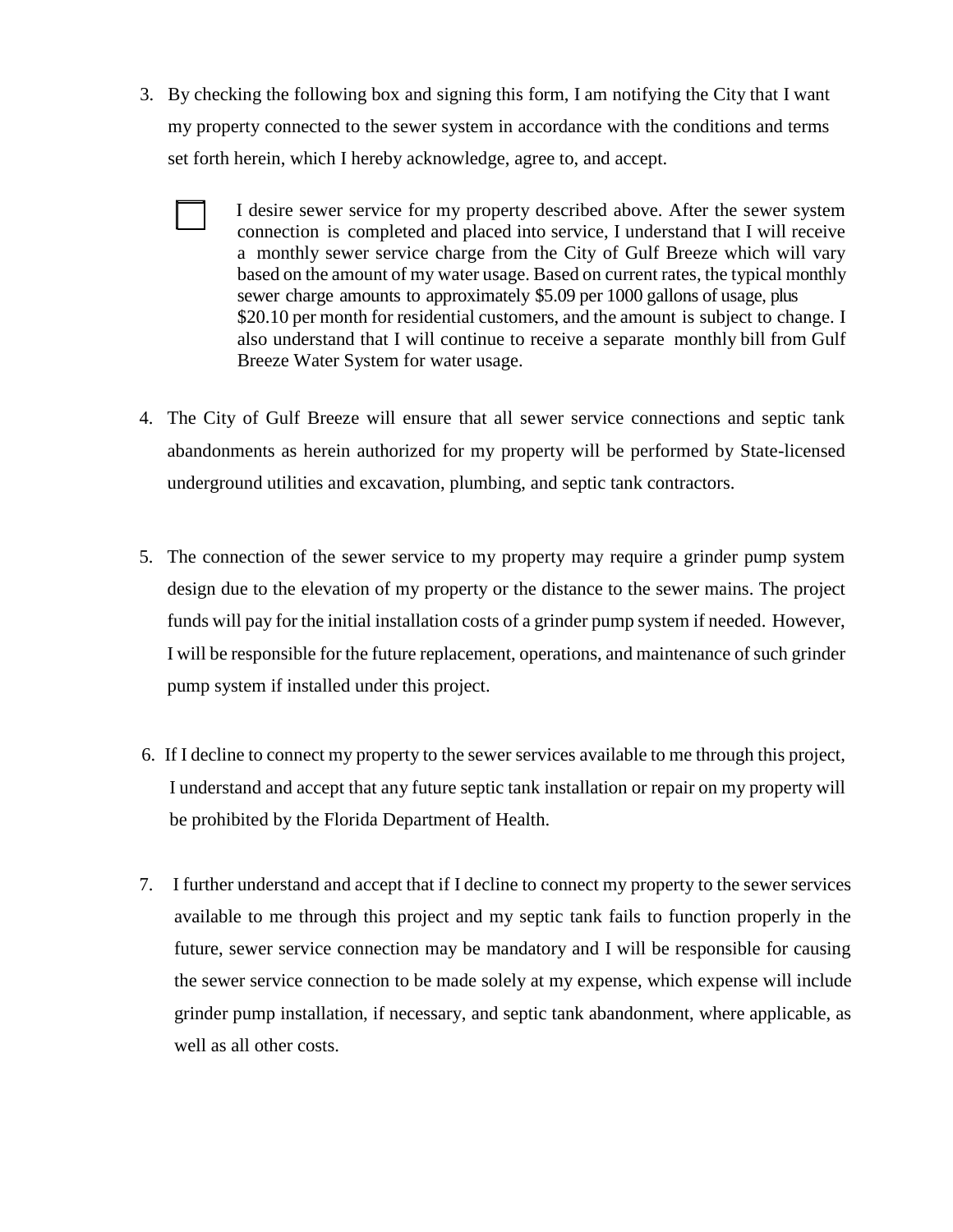- 3. By checking the following box and signing this form, I am notifying the City that I want my property connected to the sewer system in accordance with the conditions and terms set forth herein, which I hereby acknowledge, agree to, and accept.
	- I desire sewer service for my property described above. After the sewer system connection is completed and placed into service, I understand that I will receive a monthly sewer service charge from the City of Gulf Breeze which will vary based on the amount of my water usage. Based on current rates, the typical monthly sewer charge amounts to approximately \$5.09 per 1000 gallons of usage, plus \$20.10 per month for residential customers, and the amount is subject to change. I also understand that I will continue to receive a separate monthly bill from Gulf Breeze Water System for water usage.
- 4. The City of Gulf Breeze will ensure that all sewer service connections and septic tank abandonments as herein authorized for my property will be performed by State-licensed underground utilities and excavation, plumbing, and septic tank contractors.
- 5. The connection of the sewer service to my property may require a grinder pump system design due to the elevation of my property or the distance to the sewer mains. The project funds will pay for the initial installation costs of a grinder pump system if needed. However, I will be responsible for the future replacement, operations, and maintenance of such grinder pump system if installed under this project.
- 6. If I decline to connect my property to the sewer services available to me through this project, I understand and accept that any future septic tank installation or repair on my property will be prohibited by the Florida Department of Health.
- 7. I further understand and accept that if I decline to connect my property to the sewer services available to me through this project and my septic tank fails to function properly in the future, sewer service connection may be mandatory and I will be responsible for causing the sewer service connection to be made solely at my expense, which expense will include grinder pump installation, if necessary, and septic tank abandonment, where applicable, as well as all other costs.